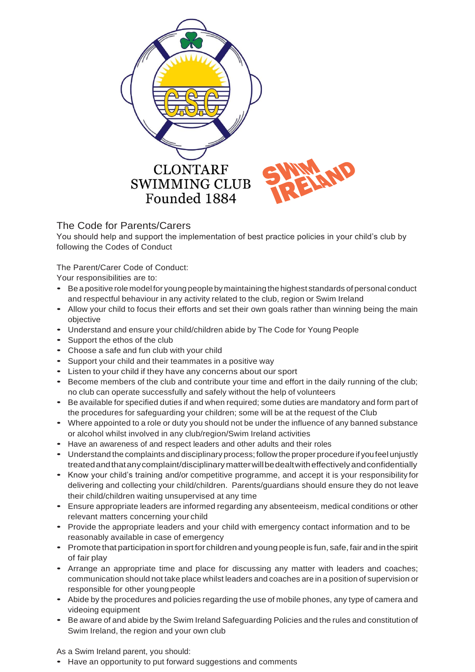

## The Code for Parents/Carers

You should help and support the implementation of best practice policies in your child's club by following the Codes of Conduct

The Parent/Carer Code of Conduct:

Your responsibilities are to:

- Be <sup>a</sup> positive role modelfor young people bymaintaining the highest standards of personal conduct and respectful behaviour in any activity related to the club, region or Swim Ireland
- Allow your child to focus their efforts and set their own goals rather than winning being the main objective
- Understand and ensure your child/children abide by The Code for Young People
- Support the ethos of the club
- Choose <sup>a</sup> safe and fun club with your child
- Support your child and their teammates in <sup>a</sup> positive way
- Listen to your child if they have any concerns about our sport
- Become members of the club and contribute your time and effort in the daily running of the club; no club can operate successfully and safely without the help of volunteers
- Be available for specified duties if and when required; some duties are mandatory and form part of the procedures for safeguarding your children; some will be at the request of the Club
- Where appointed to <sup>a</sup> role or duty you should not be under the influence of any banned substance or alcohol whilst involved in any club/region/Swim Ireland activities
- Have an awareness of and respect leaders and other adults and their roles
- Understand the complaints and disciplinary process; follow the proper procedure if youfeel unjustly treatedandthatanycomplaint/disciplinarymatterwillbedealtwitheffectivelyandconfidentially
- Know your child's training and/or competitive programme, and accept it is your responsibility for delivering and collecting your child/children. Parents/guardians should ensure they do not leave their child/children waiting unsupervised at any time
- Ensure appropriate leaders are informed regarding any absenteeism, medical conditions or other relevant matters concerning your child
- Provide the appropriate leaders and your child with emergency contact information and to be reasonably available in case of emergency
- Promote that participation in sportfor children and young people is fun, safe, fair and inthe spirit of fair play
- Arrange an appropriate time and place for discussing any matter with leaders and coaches; communication should not take place whilst leaders and coaches are in a position of supervision or responsible for other young people
- Abide by the procedures and policies regarding the use of mobile phones, any type of camera and videoing equipment
- Be aware of and abide by the Swim Ireland Safeguarding Policies and the rules and constitution of Swim Ireland, the region and your own club

As a Swim Ireland parent, you should:

• Have an opportunity to put forward suggestions and comments